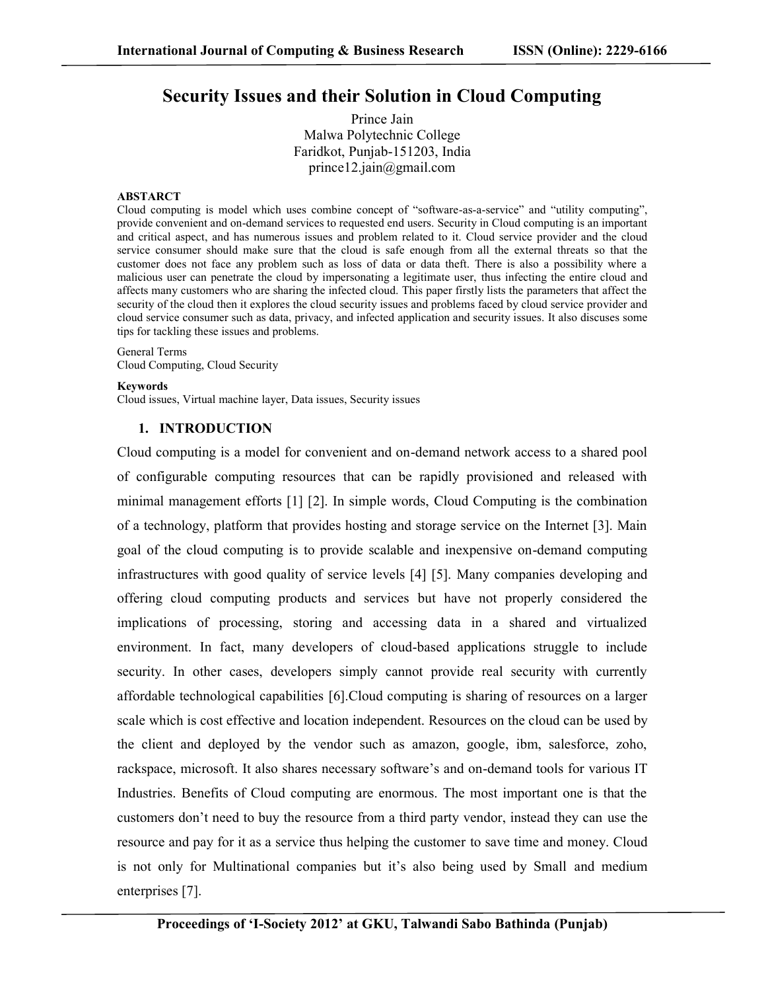# **Security Issues and their Solution in Cloud Computing**

Prince Jain Malwa Polytechnic College Faridkot, Punjab-151203, India prince12.jain@gmail.com

#### **ABSTARCT**

Cloud computing is model which uses combine concept of "software-as-a-service" and "utility computing", provide convenient and on-demand services to requested end users. Security in Cloud computing is an important and critical aspect, and has numerous issues and problem related to it. Cloud service provider and the cloud service consumer should make sure that the cloud is safe enough from all the external threats so that the customer does not face any problem such as loss of data or data theft. There is also a possibility where a malicious user can penetrate the cloud by impersonating a legitimate user, thus infecting the entire cloud and affects many customers who are sharing the infected cloud. This paper firstly lists the parameters that affect the security of the cloud then it explores the cloud security issues and problems faced by cloud service provider and cloud service consumer such as data, privacy, and infected application and security issues. It also discuses some tips for tackling these issues and problems.

# General Terms

Cloud Computing, Cloud Security

#### **Keywords**

Cloud issues, Virtual machine layer, Data issues, Security issues

## **1. INTRODUCTION**

Cloud computing is a model for convenient and on-demand network access to a shared pool of configurable computing resources that can be rapidly provisioned and released with minimal management efforts [1] [2]. In simple words, Cloud Computing is the combination of a technology, platform that provides hosting and storage service on the Internet [3]. Main goal of the cloud computing is to provide scalable and inexpensive on-demand computing infrastructures with good quality of service levels [4] [5]. Many companies developing and offering cloud computing products and services but have not properly considered the implications of processing, storing and accessing data in a shared and virtualized environment. In fact, many developers of cloud-based applications struggle to include security. In other cases, developers simply cannot provide real security with currently affordable technological capabilities [6].Cloud computing is sharing of resources on a larger scale which is cost effective and location independent. Resources on the cloud can be used by the client and deployed by the vendor such as amazon, google, ibm, salesforce, zoho, rackspace, microsoft. It also shares necessary software's and on-demand tools for various IT Industries. Benefits of Cloud computing are enormous. The most important one is that the customers don't need to buy the resource from a third party vendor, instead they can use the resource and pay for it as a service thus helping the customer to save time and money. Cloud is not only for Multinational companies but it's also being used by Small and medium enterprises [7].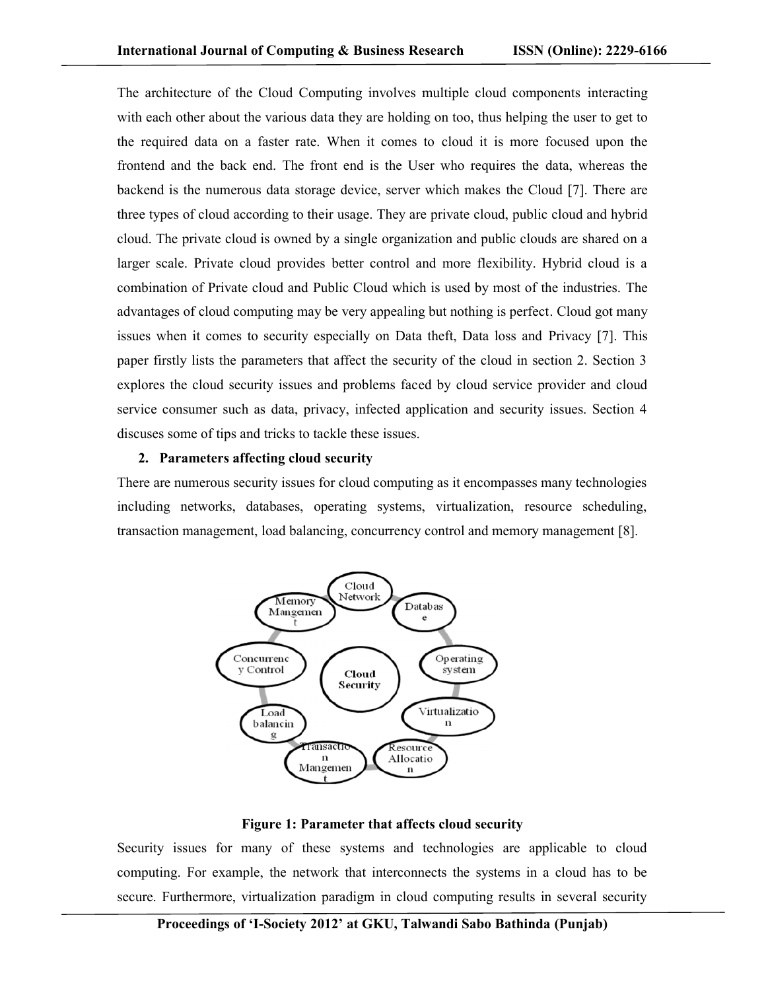The architecture of the Cloud Computing involves multiple cloud components interacting with each other about the various data they are holding on too, thus helping the user to get to the required data on a faster rate. When it comes to cloud it is more focused upon the frontend and the back end. The front end is the User who requires the data, whereas the backend is the numerous data storage device, server which makes the Cloud [7]. There are three types of cloud according to their usage. They are private cloud, public cloud and hybrid cloud. The private cloud is owned by a single organization and public clouds are shared on a larger scale. Private cloud provides better control and more flexibility. Hybrid cloud is a combination of Private cloud and Public Cloud which is used by most of the industries. The advantages of cloud computing may be very appealing but nothing is perfect. Cloud got many issues when it comes to security especially on Data theft, Data loss and Privacy [7]. This paper firstly lists the parameters that affect the security of the cloud in section 2. Section 3 explores the cloud security issues and problems faced by cloud service provider and cloud service consumer such as data, privacy, infected application and security issues. Section 4 discuses some of tips and tricks to tackle these issues.

## **2. Parameters affecting cloud security**

There are numerous security issues for cloud computing as it encompasses many technologies including networks, databases, operating systems, virtualization, resource scheduling, transaction management, load balancing, concurrency control and memory management [8].



#### **Figure 1: Parameter that affects cloud security**

Security issues for many of these systems and technologies are applicable to cloud computing. For example, the network that interconnects the systems in a cloud has to be secure. Furthermore, virtualization paradigm in cloud computing results in several security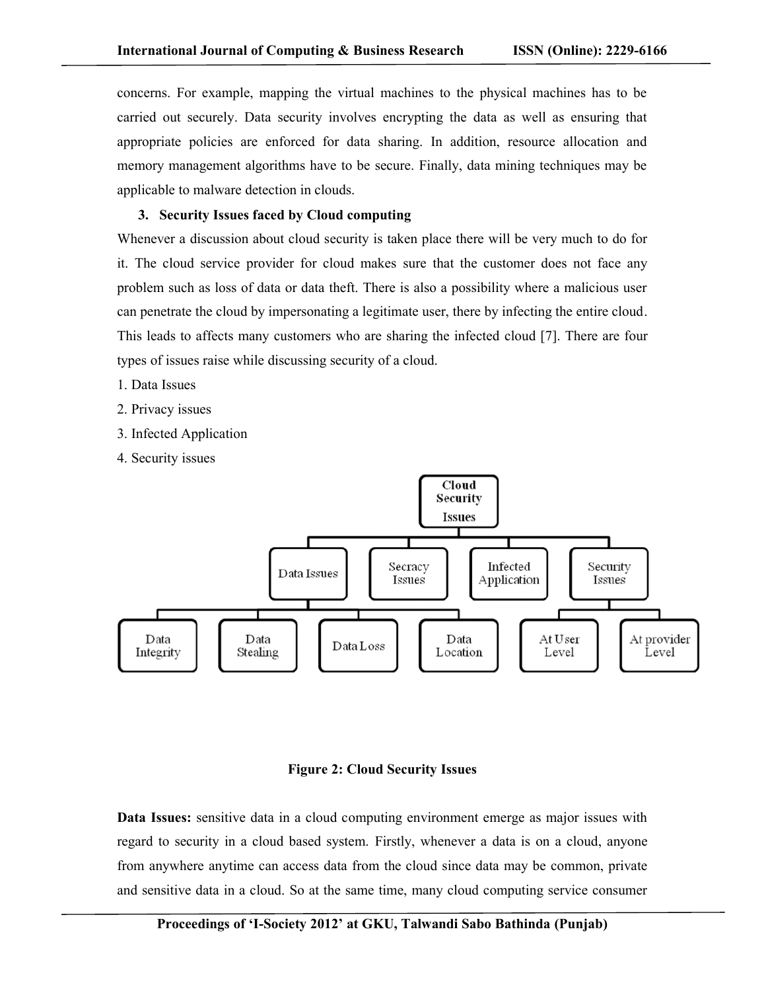concerns. For example, mapping the virtual machines to the physical machines has to be carried out securely. Data security involves encrypting the data as well as ensuring that appropriate policies are enforced for data sharing. In addition, resource allocation and memory management algorithms have to be secure. Finally, data mining techniques may be applicable to malware detection in clouds.

# **3. Security Issues faced by Cloud computing**

Whenever a discussion about cloud security is taken place there will be very much to do for it. The cloud service provider for cloud makes sure that the customer does not face any problem such as loss of data or data theft. There is also a possibility where a malicious user can penetrate the cloud by impersonating a legitimate user, there by infecting the entire cloud. This leads to affects many customers who are sharing the infected cloud [7]. There are four types of issues raise while discussing security of a cloud.

- 1. Data Issues
- 2. Privacy issues
- 3. Infected Application
- 4. Security issues



#### **Figure 2: Cloud Security Issues**

**Data Issues:** sensitive data in a cloud computing environment emerge as major issues with regard to security in a cloud based system. Firstly, whenever a data is on a cloud, anyone from anywhere anytime can access data from the cloud since data may be common, private and sensitive data in a cloud. So at the same time, many cloud computing service consumer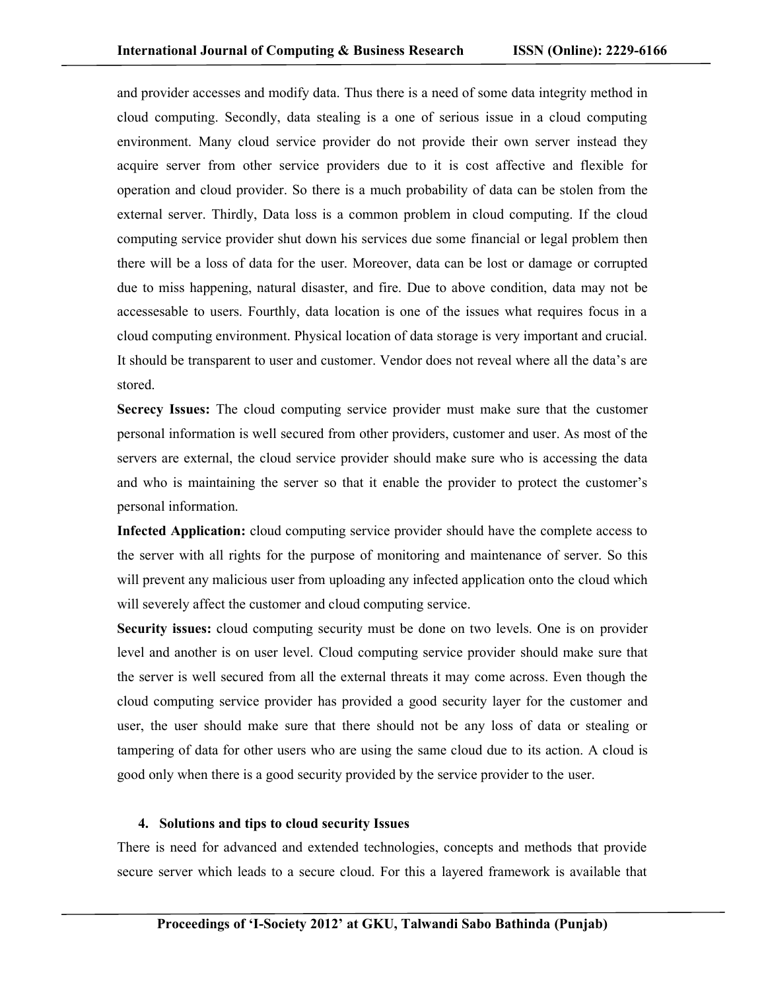and provider accesses and modify data. Thus there is a need of some data integrity method in cloud computing. Secondly, data stealing is a one of serious issue in a cloud computing environment. Many cloud service provider do not provide their own server instead they acquire server from other service providers due to it is cost affective and flexible for operation and cloud provider. So there is a much probability of data can be stolen from the external server. Thirdly, Data loss is a common problem in cloud computing. If the cloud computing service provider shut down his services due some financial or legal problem then there will be a loss of data for the user. Moreover, data can be lost or damage or corrupted due to miss happening, natural disaster, and fire. Due to above condition, data may not be accessesable to users. Fourthly, data location is one of the issues what requires focus in a cloud computing environment. Physical location of data storage is very important and crucial. It should be transparent to user and customer. Vendor does not reveal where all the data's are stored.

**Secrecy Issues:** The cloud computing service provider must make sure that the customer personal information is well secured from other providers, customer and user. As most of the servers are external, the cloud service provider should make sure who is accessing the data and who is maintaining the server so that it enable the provider to protect the customer's personal information.

**Infected Application:** cloud computing service provider should have the complete access to the server with all rights for the purpose of monitoring and maintenance of server. So this will prevent any malicious user from uploading any infected application onto the cloud which will severely affect the customer and cloud computing service.

**Security issues:** cloud computing security must be done on two levels. One is on provider level and another is on user level. Cloud computing service provider should make sure that the server is well secured from all the external threats it may come across. Even though the cloud computing service provider has provided a good security layer for the customer and user, the user should make sure that there should not be any loss of data or stealing or tampering of data for other users who are using the same cloud due to its action. A cloud is good only when there is a good security provided by the service provider to the user.

#### **4. Solutions and tips to cloud security Issues**

There is need for advanced and extended technologies, concepts and methods that provide secure server which leads to a secure cloud. For this a layered framework is available that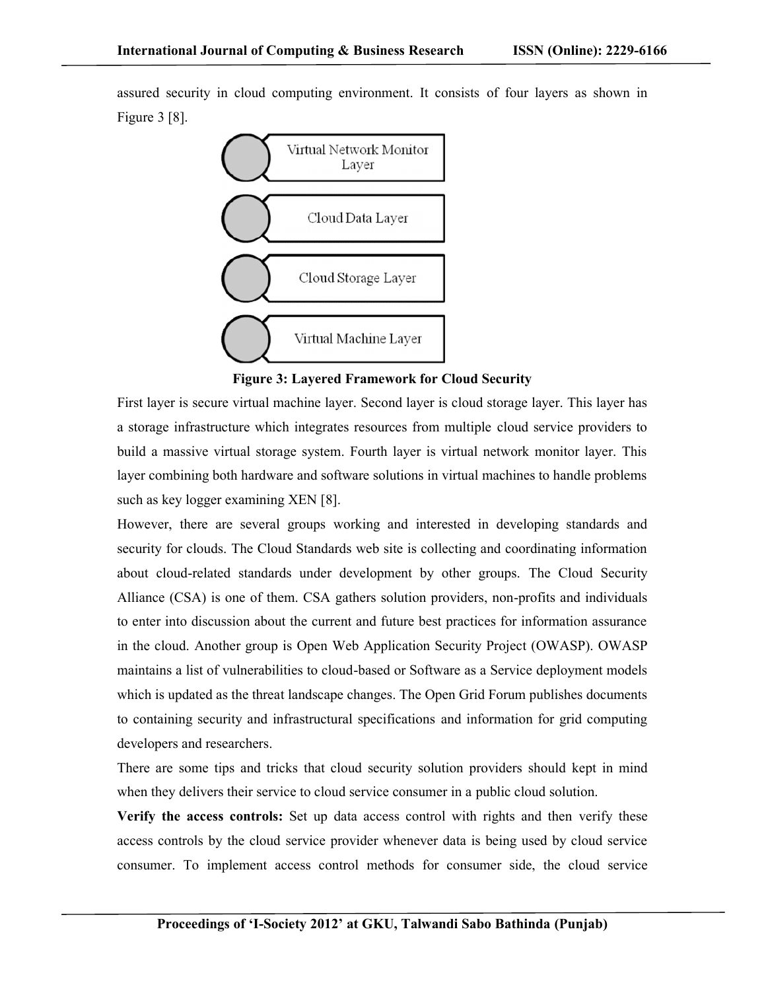assured security in cloud computing environment. It consists of four layers as shown in Figure 3 [8].



**Figure 3: Layered Framework for Cloud Security**

First layer is secure virtual machine layer. Second layer is cloud storage layer. This layer has a storage infrastructure which integrates resources from multiple cloud service providers to build a massive virtual storage system. Fourth layer is virtual network monitor layer. This layer combining both hardware and software solutions in virtual machines to handle problems such as key logger examining XEN [8].

However, there are several groups working and interested in developing standards and security for clouds. The Cloud Standards web site is collecting and coordinating information about cloud-related standards under development by other groups. The Cloud Security Alliance (CSA) is one of them. CSA gathers solution providers, non-profits and individuals to enter into discussion about the current and future best practices for information assurance in the cloud. Another group is Open Web Application Security Project (OWASP). OWASP maintains a list of vulnerabilities to cloud-based or Software as a Service deployment models which is updated as the threat landscape changes. The Open Grid Forum publishes documents to containing security and infrastructural specifications and information for grid computing developers and researchers.

There are some tips and tricks that cloud security solution providers should kept in mind when they delivers their service to cloud service consumer in a public cloud solution.

**Verify the access controls:** Set up data access control with rights and then verify these access controls by the cloud service provider whenever data is being used by cloud service consumer. To implement access control methods for consumer side, the cloud service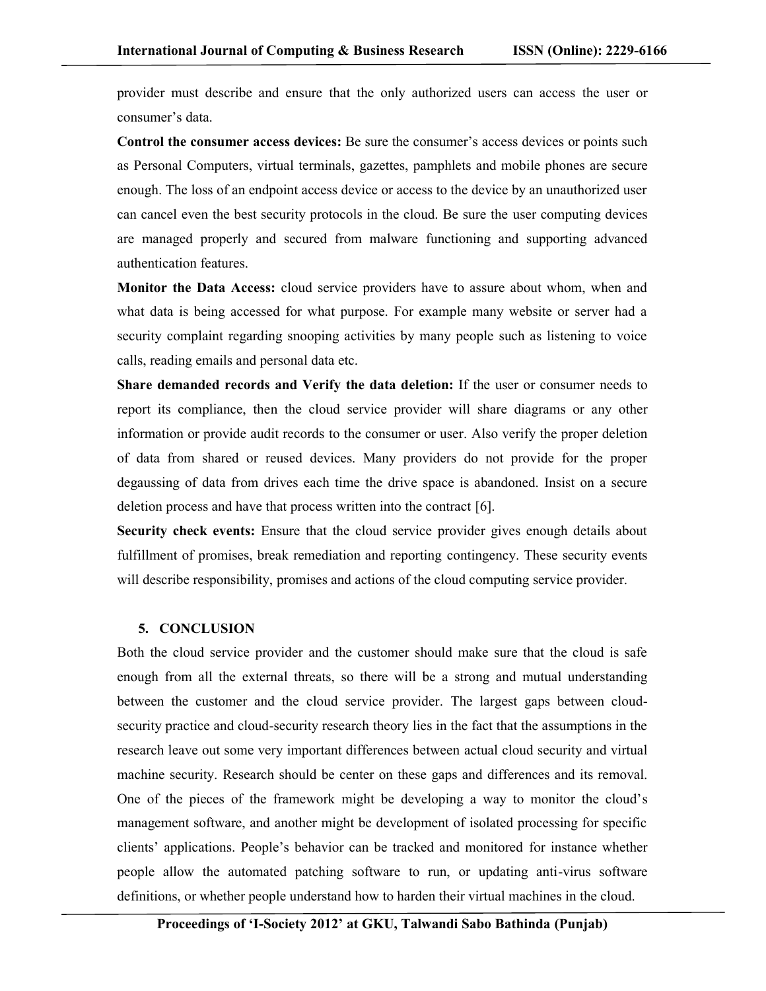provider must describe and ensure that the only authorized users can access the user or consumer's data.

**Control the consumer access devices:** Be sure the consumer's access devices or points such as Personal Computers, virtual terminals, gazettes, pamphlets and mobile phones are secure enough. The loss of an endpoint access device or access to the device by an unauthorized user can cancel even the best security protocols in the cloud. Be sure the user computing devices are managed properly and secured from malware functioning and supporting advanced authentication features.

**Monitor the Data Access:** cloud service providers have to assure about whom, when and what data is being accessed for what purpose. For example many website or server had a security complaint regarding snooping activities by many people such as listening to voice calls, reading emails and personal data etc.

**Share demanded records and Verify the data deletion:** If the user or consumer needs to report its compliance, then the cloud service provider will share diagrams or any other information or provide audit records to the consumer or user. Also verify the proper deletion of data from shared or reused devices. Many providers do not provide for the proper degaussing of data from drives each time the drive space is abandoned. Insist on a secure deletion process and have that process written into the contract [6].

**Security check events:** Ensure that the cloud service provider gives enough details about fulfillment of promises, break remediation and reporting contingency. These security events will describe responsibility, promises and actions of the cloud computing service provider.

## **5. CONCLUSION**

Both the cloud service provider and the customer should make sure that the cloud is safe enough from all the external threats, so there will be a strong and mutual understanding between the customer and the cloud service provider. The largest gaps between cloudsecurity practice and cloud-security research theory lies in the fact that the assumptions in the research leave out some very important differences between actual cloud security and virtual machine security. Research should be center on these gaps and differences and its removal. One of the pieces of the framework might be developing a way to monitor the cloud's management software, and another might be development of isolated processing for specific clients' applications. People's behavior can be tracked and monitored for instance whether people allow the automated patching software to run, or updating anti-virus software definitions, or whether people understand how to harden their virtual machines in the cloud.